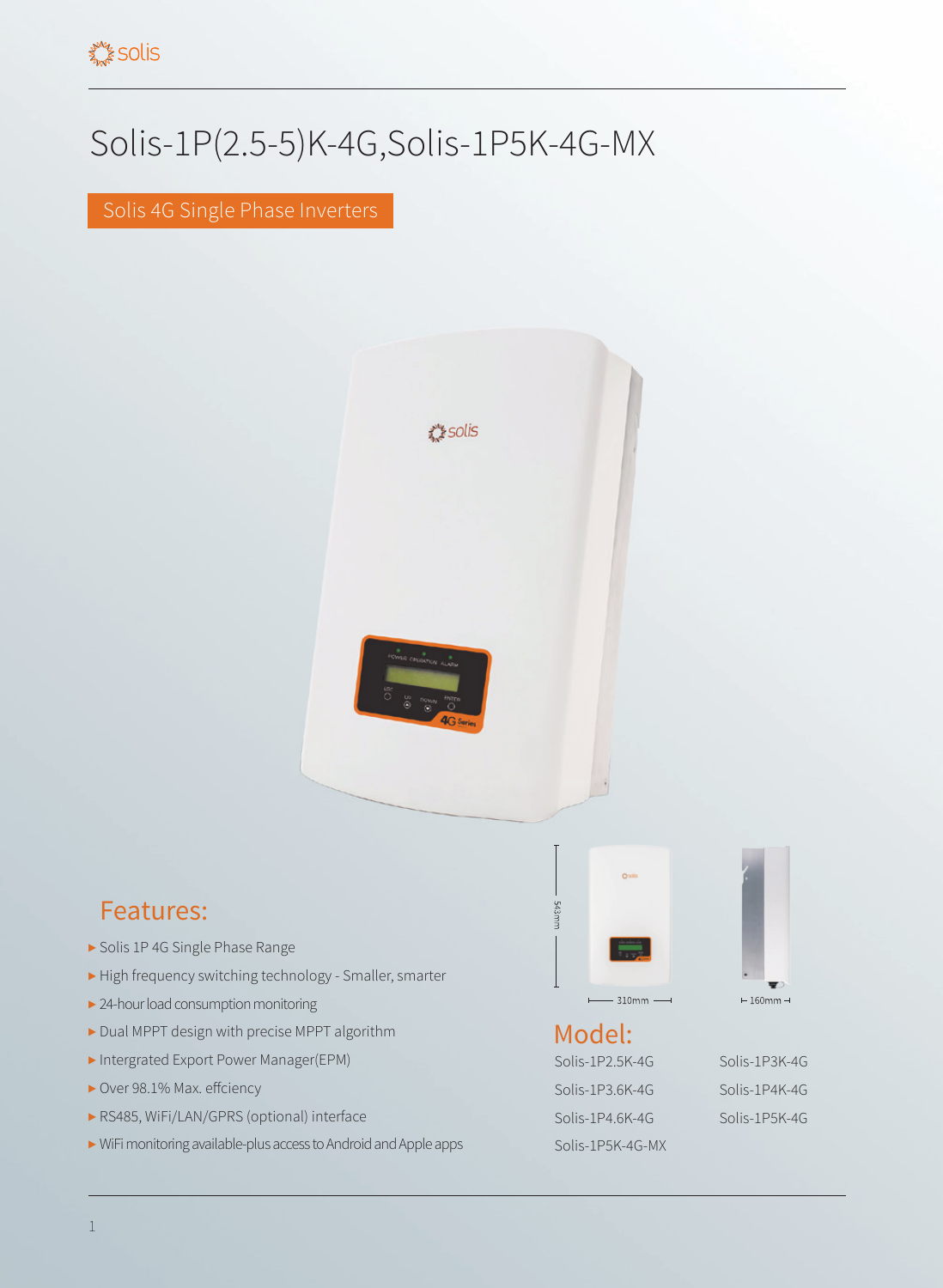## Solis-1P(2.5-5)K-4G,Solis-1P5K-4G-MX

Solis 4G Single Phase Inverters



## Features:

- ▶ Solis 1P 4G Single Phase Range
- ▶ High frequency switching technology Smaller, smarter
- ▶ 24-hour load consumption monitoring
- ▶ Dual MPPT design with precise MPPT algorithm
- ▶ Intergrated Export Power Manager(EPM)
- ▶ Over 98.1% Max. effciency
- ▶ RS485, WiFi/LAN/GPRS (optional) interface
- ▶ WiFi monitoring available-plus access to Android and Apple apps



## Model:

Solis-1P2.5K-4G Solis-1P3K-4G Solis-1P3.6K-4G Solis-1P4K-4G Solis-1P4.6K-4G Solis-1P5K-4G Solis-1P5K-4G-MX